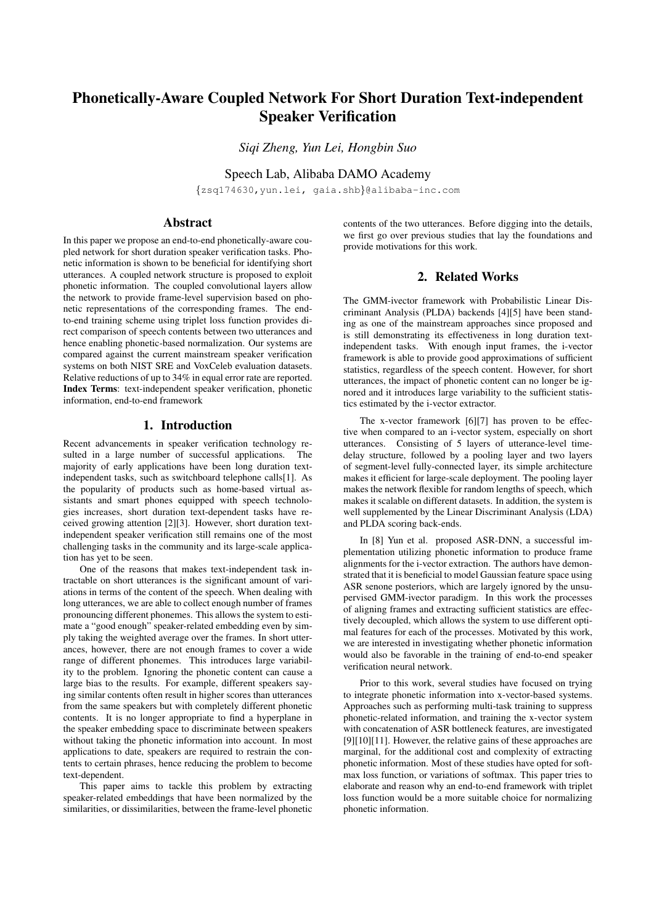# Phonetically-Aware Coupled Network For Short Duration Text-independent Speaker Verification

*Siqi Zheng, Yun Lei, Hongbin Suo*

Speech Lab, Alibaba DAMO Academy

{zsq174630,yun.lei, gaia.shb}@alibaba-inc.com

# Abstract

In this paper we propose an end-to-end phonetically-aware coupled network for short duration speaker verification tasks. Phonetic information is shown to be beneficial for identifying short utterances. A coupled network structure is proposed to exploit phonetic information. The coupled convolutional layers allow the network to provide frame-level supervision based on phonetic representations of the corresponding frames. The endto-end training scheme using triplet loss function provides direct comparison of speech contents between two utterances and hence enabling phonetic-based normalization. Our systems are compared against the current mainstream speaker verification systems on both NIST SRE and VoxCeleb evaluation datasets. Relative reductions of up to 34% in equal error rate are reported. Index Terms: text-independent speaker verification, phonetic information, end-to-end framework

## 1. Introduction

Recent advancements in speaker verification technology resulted in a large number of successful applications. The majority of early applications have been long duration textindependent tasks, such as switchboard telephone calls[1]. As the popularity of products such as home-based virtual assistants and smart phones equipped with speech technologies increases, short duration text-dependent tasks have received growing attention [2][3]. However, short duration textindependent speaker verification still remains one of the most challenging tasks in the community and its large-scale application has yet to be seen.

One of the reasons that makes text-independent task intractable on short utterances is the significant amount of variations in terms of the content of the speech. When dealing with long utterances, we are able to collect enough number of frames pronouncing different phonemes. This allows the system to estimate a "good enough" speaker-related embedding even by simply taking the weighted average over the frames. In short utterances, however, there are not enough frames to cover a wide range of different phonemes. This introduces large variability to the problem. Ignoring the phonetic content can cause a large bias to the results. For example, different speakers saying similar contents often result in higher scores than utterances from the same speakers but with completely different phonetic contents. It is no longer appropriate to find a hyperplane in the speaker embedding space to discriminate between speakers without taking the phonetic information into account. In most applications to date, speakers are required to restrain the contents to certain phrases, hence reducing the problem to become text-dependent.

This paper aims to tackle this problem by extracting speaker-related embeddings that have been normalized by the similarities, or dissimilarities, between the frame-level phonetic contents of the two utterances. Before digging into the details, we first go over previous studies that lay the foundations and provide motivations for this work.

# 2. Related Works

The GMM-ivector framework with Probabilistic Linear Discriminant Analysis (PLDA) backends [4][5] have been standing as one of the mainstream approaches since proposed and is still demonstrating its effectiveness in long duration textindependent tasks. With enough input frames, the i-vector framework is able to provide good approximations of sufficient statistics, regardless of the speech content. However, for short utterances, the impact of phonetic content can no longer be ignored and it introduces large variability to the sufficient statistics estimated by the i-vector extractor.

The x-vector framework [6][7] has proven to be effective when compared to an i-vector system, especially on short utterances. Consisting of 5 layers of utterance-level timedelay structure, followed by a pooling layer and two layers of segment-level fully-connected layer, its simple architecture makes it efficient for large-scale deployment. The pooling layer makes the network flexible for random lengths of speech, which makes it scalable on different datasets. In addition, the system is well supplemented by the Linear Discriminant Analysis (LDA) and PLDA scoring back-ends.

In [8] Yun et al. proposed ASR-DNN, a successful implementation utilizing phonetic information to produce frame alignments for the i-vector extraction. The authors have demonstrated that it is beneficial to model Gaussian feature space using ASR senone posteriors, which are largely ignored by the unsupervised GMM-ivector paradigm. In this work the processes of aligning frames and extracting sufficient statistics are effectively decoupled, which allows the system to use different optimal features for each of the processes. Motivated by this work, we are interested in investigating whether phonetic information would also be favorable in the training of end-to-end speaker verification neural network.

Prior to this work, several studies have focused on trying to integrate phonetic information into x-vector-based systems. Approaches such as performing multi-task training to suppress phonetic-related information, and training the x-vector system with concatenation of ASR bottleneck features, are investigated [9][10][11]. However, the relative gains of these approaches are marginal, for the additional cost and complexity of extracting phonetic information. Most of these studies have opted for softmax loss function, or variations of softmax. This paper tries to elaborate and reason why an end-to-end framework with triplet loss function would be a more suitable choice for normalizing phonetic information.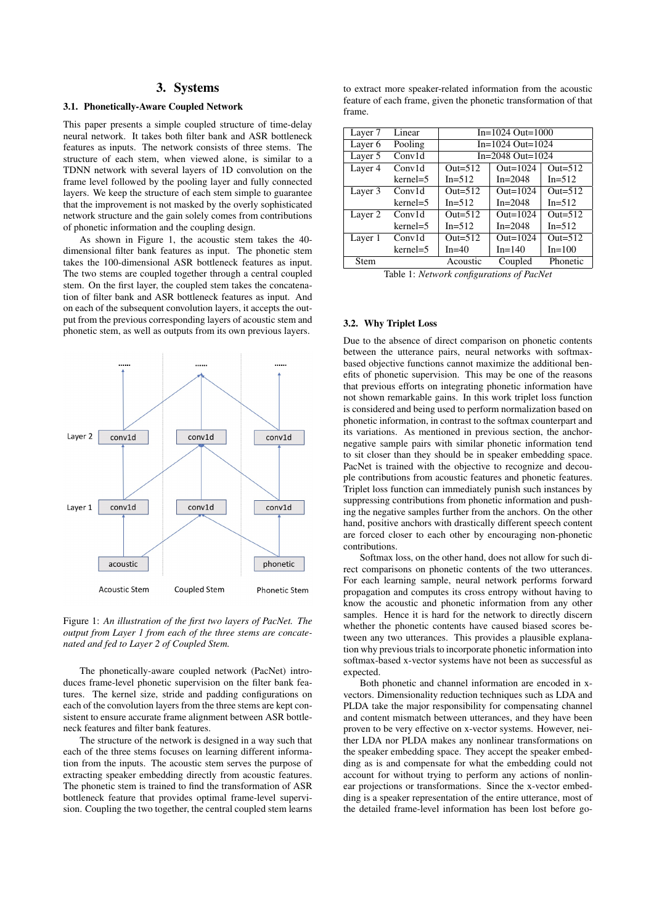#### 3. Systems

#### 3.1. Phonetically-Aware Coupled Network

This paper presents a simple coupled structure of time-delay neural network. It takes both filter bank and ASR bottleneck features as inputs. The network consists of three stems. The structure of each stem, when viewed alone, is similar to a TDNN network with several layers of 1D convolution on the frame level followed by the pooling layer and fully connected layers. We keep the structure of each stem simple to guarantee that the improvement is not masked by the overly sophisticated network structure and the gain solely comes from contributions of phonetic information and the coupling design.

As shown in Figure 1, the acoustic stem takes the 40 dimensional filter bank features as input. The phonetic stem takes the 100-dimensional ASR bottleneck features as input. The two stems are coupled together through a central coupled stem. On the first layer, the coupled stem takes the concatenation of filter bank and ASR bottleneck features as input. And on each of the subsequent convolution layers, it accepts the output from the previous corresponding layers of acoustic stem and phonetic stem, as well as outputs from its own previous layers.



Figure 1: *An illustration of the first two layers of PacNet. The output from Layer 1 from each of the three stems are concatenated and fed to Layer 2 of Coupled Stem.*

The phonetically-aware coupled network (PacNet) introduces frame-level phonetic supervision on the filter bank features. The kernel size, stride and padding configurations on each of the convolution layers from the three stems are kept consistent to ensure accurate frame alignment between ASR bottleneck features and filter bank features.

The structure of the network is designed in a way such that each of the three stems focuses on learning different information from the inputs. The acoustic stem serves the purpose of extracting speaker embedding directly from acoustic features. The phonetic stem is trained to find the transformation of ASR bottleneck feature that provides optimal frame-level supervision. Coupling the two together, the central coupled stem learns to extract more speaker-related information from the acoustic feature of each frame, given the phonetic transformation of that frame.

| Layer 7            | Linear     | $In=1024$ Out=1000  |             |            |
|--------------------|------------|---------------------|-------------|------------|
| Layer <sub>6</sub> | Pooling    | $In=1024$ Out=1024  |             |            |
| Layer 5            | Conv1d     | In=2048 Out= $1024$ |             |            |
| Layer 4            | Conv1d     | Out= $512$          | Out= $1024$ | Out= $512$ |
|                    | kernel=5   | $In=512$            | $In = 2048$ | $In=512$   |
| Layer 3            | Conv1d     | Out= $512$          | Out= $1024$ | Out= $512$ |
|                    | $kernel=5$ | $In=512$            | $In = 2048$ | $In=512$   |
| Layer 2            | Conv1d     | Out= $512$          | Out= $1024$ | Out= $512$ |
|                    | $kernel=5$ | $In=512$            | $In = 2048$ | $In=512$   |
| Layer 1            | Conv1d     | Out= $512$          | Out= $1024$ | Out= $512$ |
|                    | $kernel=5$ | $In=40$             | $In=140$    | $In=100$   |
| Stem               |            | Acoustic            | Coupled     | Phonetic   |

Table 1: *Network configurations of PacNet*

#### 3.2. Why Triplet Loss

Due to the absence of direct comparison on phonetic contents between the utterance pairs, neural networks with softmaxbased objective functions cannot maximize the additional benefits of phonetic supervision. This may be one of the reasons that previous efforts on integrating phonetic information have not shown remarkable gains. In this work triplet loss function is considered and being used to perform normalization based on phonetic information, in contrast to the softmax counterpart and its variations. As mentioned in previous section, the anchornegative sample pairs with similar phonetic information tend to sit closer than they should be in speaker embedding space. PacNet is trained with the objective to recognize and decouple contributions from acoustic features and phonetic features. Triplet loss function can immediately punish such instances by suppressing contributions from phonetic information and pushing the negative samples further from the anchors. On the other hand, positive anchors with drastically different speech content are forced closer to each other by encouraging non-phonetic contributions.

Softmax loss, on the other hand, does not allow for such direct comparisons on phonetic contents of the two utterances. For each learning sample, neural network performs forward propagation and computes its cross entropy without having to know the acoustic and phonetic information from any other samples. Hence it is hard for the network to directly discern whether the phonetic contents have caused biased scores between any two utterances. This provides a plausible explanation why previous trials to incorporate phonetic information into softmax-based x-vector systems have not been as successful as expected.

Both phonetic and channel information are encoded in xvectors. Dimensionality reduction techniques such as LDA and PLDA take the major responsibility for compensating channel and content mismatch between utterances, and they have been proven to be very effective on x-vector systems. However, neither LDA nor PLDA makes any nonlinear transformations on the speaker embedding space. They accept the speaker embedding as is and compensate for what the embedding could not account for without trying to perform any actions of nonlinear projections or transformations. Since the x-vector embedding is a speaker representation of the entire utterance, most of the detailed frame-level information has been lost before go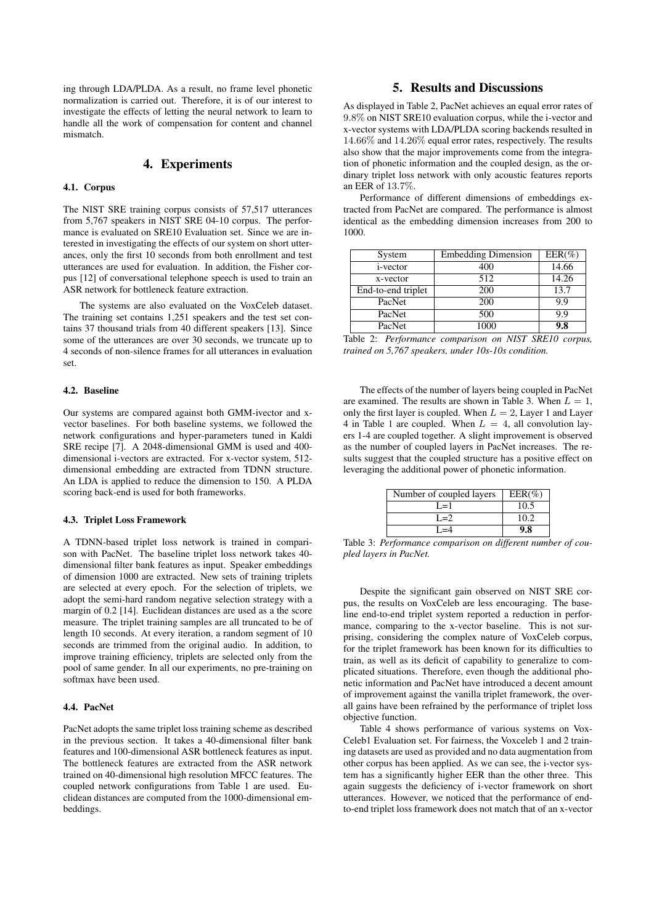ing through LDA/PLDA. As a result, no frame level phonetic normalization is carried out. Therefore, it is of our interest to investigate the effects of letting the neural network to learn to handle all the work of compensation for content and channel mismatch.

### 4. Experiments

#### 4.1. Corpus

The NIST SRE training corpus consists of 57,517 utterances from 5,767 speakers in NIST SRE 04-10 corpus. The performance is evaluated on SRE10 Evaluation set. Since we are interested in investigating the effects of our system on short utterances, only the first 10 seconds from both enrollment and test utterances are used for evaluation. In addition, the Fisher corpus [12] of conversational telephone speech is used to train an ASR network for bottleneck feature extraction.

The systems are also evaluated on the VoxCeleb dataset. The training set contains 1,251 speakers and the test set contains 37 thousand trials from 40 different speakers [13]. Since some of the utterances are over 30 seconds, we truncate up to 4 seconds of non-silence frames for all utterances in evaluation set.

#### 4.2. Baseline

Our systems are compared against both GMM-ivector and xvector baselines. For both baseline systems, we followed the network configurations and hyper-parameters tuned in Kaldi SRE recipe [7]. A 2048-dimensional GMM is used and 400 dimensional i-vectors are extracted. For x-vector system, 512 dimensional embedding are extracted from TDNN structure. An LDA is applied to reduce the dimension to 150. A PLDA scoring back-end is used for both frameworks.

#### 4.3. Triplet Loss Framework

A TDNN-based triplet loss network is trained in comparison with PacNet. The baseline triplet loss network takes 40 dimensional filter bank features as input. Speaker embeddings of dimension 1000 are extracted. New sets of training triplets are selected at every epoch. For the selection of triplets, we adopt the semi-hard random negative selection strategy with a margin of 0.2 [14]. Euclidean distances are used as a the score measure. The triplet training samples are all truncated to be of length 10 seconds. At every iteration, a random segment of 10 seconds are trimmed from the original audio. In addition, to improve training efficiency, triplets are selected only from the pool of same gender. In all our experiments, no pre-training on softmax have been used.

#### 4.4. PacNet

PacNet adopts the same triplet loss training scheme as described in the previous section. It takes a 40-dimensional filter bank features and 100-dimensional ASR bottleneck features as input. The bottleneck features are extracted from the ASR network trained on 40-dimensional high resolution MFCC features. The coupled network configurations from Table 1 are used. Euclidean distances are computed from the 1000-dimensional embeddings.

## 5. Results and Discussions

As displayed in Table 2, PacNet achieves an equal error rates of 9.8% on NIST SRE10 evaluation corpus, while the i-vector and x-vector systems with LDA/PLDA scoring backends resulted in 14.66% and 14.26% equal error rates, respectively. The results also show that the major improvements come from the integration of phonetic information and the coupled design, as the ordinary triplet loss network with only acoustic features reports an EER of 13.7%.

Performance of different dimensions of embeddings extracted from PacNet are compared. The performance is almost identical as the embedding dimension increases from 200 to 1000.

| System             | <b>Embedding Dimension</b> | $EER(\%)$ |
|--------------------|----------------------------|-----------|
| <i>i</i> -vector   | 400                        | 14.66     |
| x-vector           | 512                        | 14.26     |
| End-to-end triplet | 200                        | 13.7      |
| PacNet             | 200                        | 9.9       |
| PacNet             | 500                        | 9.9       |
| PacNet             | 1000                       | 9.8       |

Table 2: *Performance comparison on NIST SRE10 corpus, trained on 5,767 speakers, under 10s-10s condition.*

The effects of the number of layers being coupled in PacNet are examined. The results are shown in Table 3. When  $L = 1$ , only the first layer is coupled. When  $L = 2$ , Layer 1 and Layer 4 in Table 1 are coupled. When  $L = 4$ , all convolution layers 1-4 are coupled together. A slight improvement is observed as the number of coupled layers in PacNet increases. The results suggest that the coupled structure has a positive effect on leveraging the additional power of phonetic information.

| Number of coupled layers | $EER(\%)$ |
|--------------------------|-----------|
| $I = 1$                  | 10.5      |
| $I = 2$                  | 10.2      |
|                          | ).X       |

Table 3: *Performance comparison on different number of coupled layers in PacNet.*

Despite the significant gain observed on NIST SRE corpus, the results on VoxCeleb are less encouraging. The baseline end-to-end triplet system reported a reduction in performance, comparing to the x-vector baseline. This is not surprising, considering the complex nature of VoxCeleb corpus, for the triplet framework has been known for its difficulties to train, as well as its deficit of capability to generalize to complicated situations. Therefore, even though the additional phonetic information and PacNet have introduced a decent amount of improvement against the vanilla triplet framework, the overall gains have been refrained by the performance of triplet loss objective function.

Table 4 shows performance of various systems on Vox-Celeb1 Evaluation set. For fairness, the Voxceleb 1 and 2 training datasets are used as provided and no data augmentation from other corpus has been applied. As we can see, the i-vector system has a significantly higher EER than the other three. This again suggests the deficiency of i-vector framework on short utterances. However, we noticed that the performance of endto-end triplet loss framework does not match that of an x-vector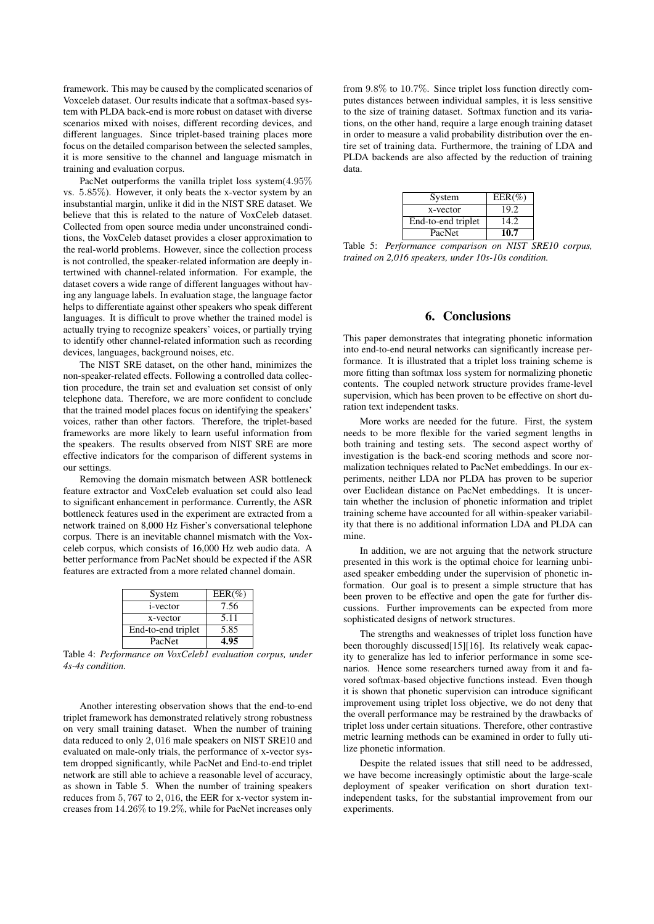framework. This may be caused by the complicated scenarios of Voxceleb dataset. Our results indicate that a softmax-based system with PLDA back-end is more robust on dataset with diverse scenarios mixed with noises, different recording devices, and different languages. Since triplet-based training places more focus on the detailed comparison between the selected samples, it is more sensitive to the channel and language mismatch in training and evaluation corpus.

PacNet outperforms the vanilla triplet loss system(4.95% vs. 5.85%). However, it only beats the x-vector system by an insubstantial margin, unlike it did in the NIST SRE dataset. We believe that this is related to the nature of VoxCeleb dataset. Collected from open source media under unconstrained conditions, the VoxCeleb dataset provides a closer approximation to the real-world problems. However, since the collection process is not controlled, the speaker-related information are deeply intertwined with channel-related information. For example, the dataset covers a wide range of different languages without having any language labels. In evaluation stage, the language factor helps to differentiate against other speakers who speak different languages. It is difficult to prove whether the trained model is actually trying to recognize speakers' voices, or partially trying to identify other channel-related information such as recording devices, languages, background noises, etc.

The NIST SRE dataset, on the other hand, minimizes the non-speaker-related effects. Following a controlled data collection procedure, the train set and evaluation set consist of only telephone data. Therefore, we are more confident to conclude that the trained model places focus on identifying the speakers' voices, rather than other factors. Therefore, the triplet-based frameworks are more likely to learn useful information from the speakers. The results observed from NIST SRE are more effective indicators for the comparison of different systems in our settings.

Removing the domain mismatch between ASR bottleneck feature extractor and VoxCeleb evaluation set could also lead to significant enhancement in performance. Currently, the ASR bottleneck features used in the experiment are extracted from a network trained on 8,000 Hz Fisher's conversational telephone corpus. There is an inevitable channel mismatch with the Voxceleb corpus, which consists of 16,000 Hz web audio data. A better performance from PacNet should be expected if the ASR features are extracted from a more related channel domain.

| System             | $EER(\%)$ |
|--------------------|-----------|
| <i>i</i> -vector   | 7.56      |
| x-vector           | 5.11      |
| End-to-end triplet | 5.85      |
| PacNet             | 4.95      |

Table 4: *Performance on VoxCeleb1 evaluation corpus, under 4s-4s condition.*

Another interesting observation shows that the end-to-end triplet framework has demonstrated relatively strong robustness on very small training dataset. When the number of training data reduced to only 2, 016 male speakers on NIST SRE10 and evaluated on male-only trials, the performance of x-vector system dropped significantly, while PacNet and End-to-end triplet network are still able to achieve a reasonable level of accuracy, as shown in Table 5. When the number of training speakers reduces from 5, 767 to 2, 016, the EER for x-vector system increases from 14.26% to 19.2%, while for PacNet increases only

from 9.8% to 10.7%. Since triplet loss function directly computes distances between individual samples, it is less sensitive to the size of training dataset. Softmax function and its variations, on the other hand, require a large enough training dataset in order to measure a valid probability distribution over the entire set of training data. Furthermore, the training of LDA and PLDA backends are also affected by the reduction of training data.

| System             | $EER(\%)$ |
|--------------------|-----------|
| x-vector           | 19.2      |
| End-to-end triplet | 14.2.     |
| PacNet             | 10.7      |

Table 5: *Performance comparison on NIST SRE10 corpus, trained on 2,016 speakers, under 10s-10s condition.*

#### 6. Conclusions

This paper demonstrates that integrating phonetic information into end-to-end neural networks can significantly increase performance. It is illustrated that a triplet loss training scheme is more fitting than softmax loss system for normalizing phonetic contents. The coupled network structure provides frame-level supervision, which has been proven to be effective on short duration text independent tasks.

More works are needed for the future. First, the system needs to be more flexible for the varied segment lengths in both training and testing sets. The second aspect worthy of investigation is the back-end scoring methods and score normalization techniques related to PacNet embeddings. In our experiments, neither LDA nor PLDA has proven to be superior over Euclidean distance on PacNet embeddings. It is uncertain whether the inclusion of phonetic information and triplet training scheme have accounted for all within-speaker variability that there is no additional information LDA and PLDA can mine.

In addition, we are not arguing that the network structure presented in this work is the optimal choice for learning unbiased speaker embedding under the supervision of phonetic information. Our goal is to present a simple structure that has been proven to be effective and open the gate for further discussions. Further improvements can be expected from more sophisticated designs of network structures.

The strengths and weaknesses of triplet loss function have been thoroughly discussed[15][16]. Its relatively weak capacity to generalize has led to inferior performance in some scenarios. Hence some researchers turned away from it and favored softmax-based objective functions instead. Even though it is shown that phonetic supervision can introduce significant improvement using triplet loss objective, we do not deny that the overall performance may be restrained by the drawbacks of triplet loss under certain situations. Therefore, other contrastive metric learning methods can be examined in order to fully utilize phonetic information.

Despite the related issues that still need to be addressed, we have become increasingly optimistic about the large-scale deployment of speaker verification on short duration textindependent tasks, for the substantial improvement from our experiments.